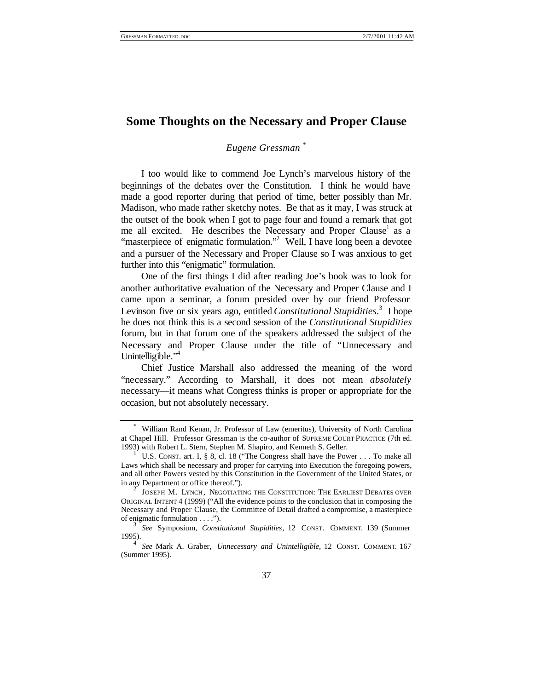# **Some Thoughts on the Necessary and Proper Clause**

### *Eugene Gressman \**

I too would like to commend Joe Lynch's marvelous history of the beginnings of the debates over the Constitution. I think he would have made a good reporter during that period of time, better possibly than Mr. Madison, who made rather sketchy notes. Be that as it may, I was struck at the outset of the book when I got to page four and found a remark that got me all excited. He describes the Necessary and Proper Clause<sup>1</sup> as a "masterpiece of enigmatic formulation."<sup>2</sup> Well, I have long been a devotee and a pursuer of the Necessary and Proper Clause so I was anxious to get further into this "enigmatic" formulation.

One of the first things I did after reading Joe's book was to look for another authoritative evaluation of the Necessary and Proper Clause and I came upon a seminar, a forum presided over by our friend Professor Levinson five or six years ago, entitled *Constitutional Stupidities*.<sup>3</sup> I hope he does not think this is a second session of the *Constitutional Stupidities* forum, but in that forum one of the speakers addressed the subject of the Necessary and Proper Clause under the title of "Unnecessary and Unintelligible."<sup>4</sup>

Chief Justice Marshall also addressed the meaning of the word "necessary." According to Marshall, it does not mean *absolutely* necessary—it means what Congress thinks is proper or appropriate for the occasion, but not absolutely necessary.

<sup>\*</sup> William Rand Kenan, Jr. Professor of Law (emeritus), University of North Carolina at Chapel Hill. Professor Gressman is the co-author of SUPREME COURT PRACTICE (7th ed. 1993) with Robert L. Stern, Stephen M. Shapiro, and Kenneth S. Geller.

U.S. CONST. art. I, § 8, cl. 18 ("The Congress shall have the Power . . . To make all Laws which shall be necessary and proper for carrying into Execution the foregoing powers, and all other Powers vested by this Constitution in the Government of the United States, or in any Department or office thereof.").

<sup>2</sup> JOSEPH M. LYNCH, NEGOTIATING THE CONSTITUTION: THE EARLIEST DEBATES OVER ORIGINAL INTENT 4 (1999) ("All the evidence points to the conclusion that in composing the Necessary and Proper Clause, the Committee of Detail drafted a compromise, a masterpiece of enigmatic formulation . . . .").

<sup>3</sup> *See* Symposium, *Constitutional Stupidities*, 12 CONST. COMMENT. 139 (Summer 1995).

<sup>4</sup> *See* Mark A. Graber, *Unnecessary and Unintelligible*, 12 CONST. COMMENT. 167 (Summer 1995).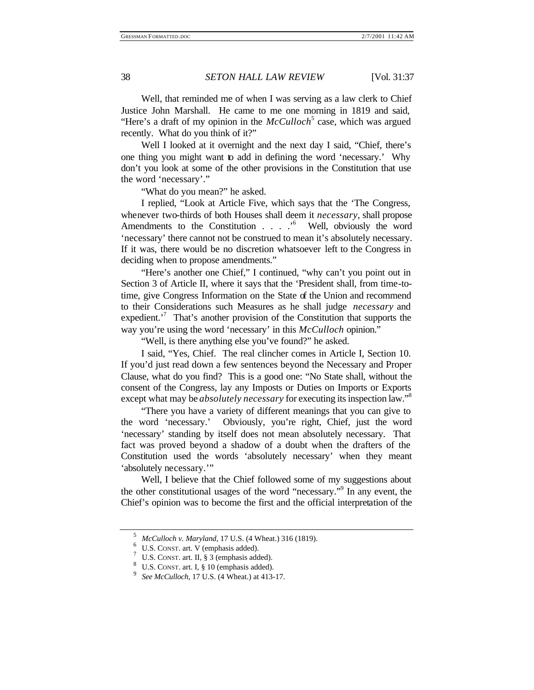Well, that reminded me of when I was serving as a law clerk to Chief Justice John Marshall. He came to me one morning in 1819 and said, "Here's a draft of my opinion in the *McCulloch*<sup>5</sup> case, which was argued recently. What do you think of it?"

Well I looked at it overnight and the next day I said, "Chief, there's one thing you might want to add in defining the word 'necessary.' Why don't you look at some of the other provisions in the Constitution that use the word 'necessary'."

"What do you mean?" he asked.

I replied, "Look at Article Five, which says that the 'The Congress, whenever two-thirds of both Houses shall deem it *necessary*, shall propose Amendments to the Constitution . . . .<sup>6</sup> Well, obviously the word 'necessary' there cannot not be construed to mean it's absolutely necessary. If it was, there would be no discretion whatsoever left to the Congress in deciding when to propose amendments."

"Here's another one Chief," I continued, "why can't you point out in Section 3 of Article II, where it says that the 'President shall, from time-totime, give Congress Information on the State of the Union and recommend to their Considerations such Measures as he shall judge *necessary* and expedient.<sup> $7$ </sup> That's another provision of the Constitution that supports the way you're using the word 'necessary' in this *McCulloch* opinion."

"Well, is there anything else you've found?" he asked.

I said, "Yes, Chief. The real clincher comes in Article I, Section 10. If you'd just read down a few sentences beyond the Necessary and Proper Clause, what do you find? This is a good one: "No State shall, without the consent of the Congress, lay any Imposts or Duties on Imports or Exports except what may be *absolutely necessary* for executing its inspection law."<sup>8</sup>

"There you have a variety of different meanings that you can give to the word 'necessary.' Obviously, you're right, Chief, just the word 'necessary' standing by itself does not mean absolutely necessary. That fact was proved beyond a shadow of a doubt when the drafters of the Constitution used the words 'absolutely necessary' when they meant 'absolutely necessary.'"

Well, I believe that the Chief followed some of my suggestions about the other constitutional usages of the word "necessary."<sup>9</sup> In any event, the Chief's opinion was to become the first and the official interpretation of the

<sup>5</sup> *McCulloch v. Maryland*, 17 U.S. (4 Wheat.) 316 (1819).

<sup>6</sup> U.S. CONST. art. V (emphasis added).

U.S. CONST. art. II, § 3 (emphasis added).

U.S. CONST. art. I, § 10 (emphasis added).

<sup>9</sup> *See McCulloch*, 17 U.S. (4 Wheat.) at 413-17.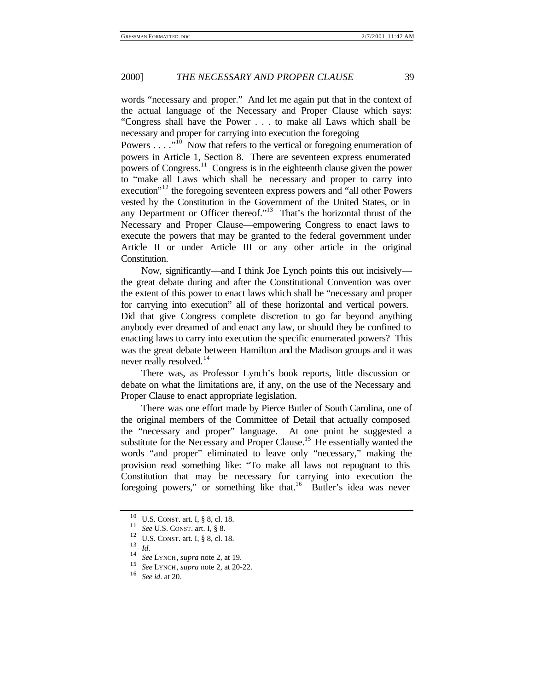## 2000] *THE NECESSARY AND PROPER CLAUSE* 39

words "necessary and proper." And let me again put that in the context of the actual language of the Necessary and Proper Clause which says: "Congress shall have the Power . . . to make all Laws which shall be necessary and proper for carrying into execution the foregoing

Powers  $\dots$  ."<sup>10</sup> Now that refers to the vertical or foregoing enumeration of powers in Article 1, Section 8. There are seventeen express enumerated powers of Congress.<sup>11</sup> Congress is in the eighteenth clause given the power to "make all Laws which shall be necessary and proper to carry into execution<sup>"12</sup> the foregoing seventeen express powers and "all other Powers" vested by the Constitution in the Government of the United States, or in any Department or Officer thereof."<sup>13</sup> That's the horizontal thrust of the Necessary and Proper Clause—empowering Congress to enact laws to execute the powers that may be granted to the federal government under Article II or under Article III or any other article in the original Constitution.

Now, significantly—and I think Joe Lynch points this out incisively the great debate during and after the Constitutional Convention was over the extent of this power to enact laws which shall be "necessary and proper for carrying into execution" all of these horizontal and vertical powers. Did that give Congress complete discretion to go far beyond anything anybody ever dreamed of and enact any law, or should they be confined to enacting laws to carry into execution the specific enumerated powers? This was the great debate between Hamilton and the Madison groups and it was never really resolved.<sup>14</sup>

There was, as Professor Lynch's book reports, little discussion or debate on what the limitations are, if any, on the use of the Necessary and Proper Clause to enact appropriate legislation.

There was one effort made by Pierce Butler of South Carolina, one of the original members of the Committee of Detail that actually composed the "necessary and proper" language. At one point he suggested a substitute for the Necessary and Proper Clause.<sup>15</sup> He essentially wanted the words "and proper" eliminated to leave only "necessary," making the provision read something like: "To make all laws not repugnant to this Constitution that may be necessary for carrying into execution the foregoing powers," or something like that.<sup>16</sup> Butler's idea was never

<sup>10</sup> U.S. CONST. art. I, § 8, cl. 18.

<sup>11</sup> *See* U.S. CONST. art. I, § 8.

<sup>12</sup> U.S. CONST. art. I, § 8, cl. 18.

<sup>13</sup> *Id*.

<sup>14</sup> *See* LYNCH, *supra* note 2, at 19.

<sup>15</sup> *See* LYNCH, *supra* note 2, at 20-22.

<sup>16</sup> *See id*. at 20.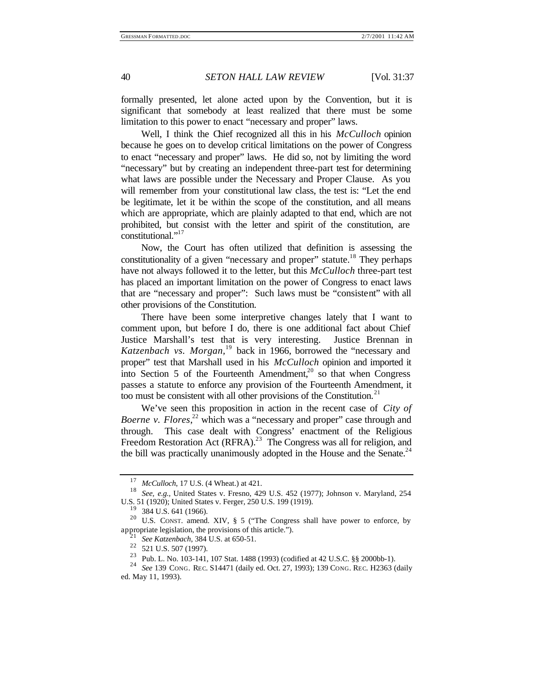formally presented, let alone acted upon by the Convention, but it is significant that somebody at least realized that there must be some limitation to this power to enact "necessary and proper" laws.

Well, I think the Chief recognized all this in his *McCulloch* opinion because he goes on to develop critical limitations on the power of Congress to enact "necessary and proper" laws. He did so, not by limiting the word "necessary" but by creating an independent three-part test for determining what laws are possible under the Necessary and Proper Clause. As you will remember from your constitutional law class, the test is: "Let the end be legitimate, let it be within the scope of the constitution, and all means which are appropriate, which are plainly adapted to that end, which are not prohibited, but consist with the letter and spirit of the constitution, are constitutional."<sup>17</sup>

Now, the Court has often utilized that definition is assessing the constitutionality of a given "necessary and proper" statute.<sup>18</sup> They perhaps have not always followed it to the letter, but this *McCulloch* three-part test has placed an important limitation on the power of Congress to enact laws that are "necessary and proper": Such laws must be "consistent" with all other provisions of the Constitution.

There have been some interpretive changes lately that I want to comment upon, but before I do, there is one additional fact about Chief Justice Marshall's test that is very interesting. Justice Brennan in *Katzenbach vs. Morgan,*<sup>19</sup> back in 1966, borrowed the "necessary and proper" test that Marshall used in his *McCulloch* opinion and imported it into Section 5 of the Fourteenth Amendment, $2^{\circ}$  so that when Congress passes a statute to enforce any provision of the Fourteenth Amendment, it too must be consistent with all other provisions of the Constitution. $21$ 

We've seen this proposition in action in the recent case of *City of*  Boerne v. Flores,<sup>22</sup> which was a "necessary and proper" case through and through. This case dealt with Congress' enactment of the Religious Freedom Restoration Act (RFRA).<sup>23</sup> The Congress was all for religion, and the bill was practically unanimously adopted in the House and the Senate. $^{24}$ 

<sup>17</sup> *McCulloch*, 17 U.S. (4 Wheat.) at 421.

<sup>18</sup> *See, e.g.,* United States v. Fresno, 429 U.S. 452 (1977); Johnson v. Maryland, 254 U.S. 51 (1920); United States v. Ferger, 250 U.S. 199 (1919).

<sup>384</sup> U.S. 641 (1966).

<sup>20</sup> U.S. CONST. amend. XIV, § 5 ("The Congress shall have power to enforce, by appropriate legislation, the provisions of this article.").

<sup>21</sup> *See Katzenbach*, 384 U.S. at 650-51.

 $\frac{22}{521}$  U.S. 507 (1997).

<sup>23</sup> Pub. L. No. 103-141, 107 Stat. 1488 (1993) (codified at 42 U.S.C. §§ 2000bb-1).

<sup>24</sup> *See* 139 CONG. REC. S14471 (daily ed. Oct. 27, 1993); 139 CONG. REC. H2363 (daily ed. May 11, 1993).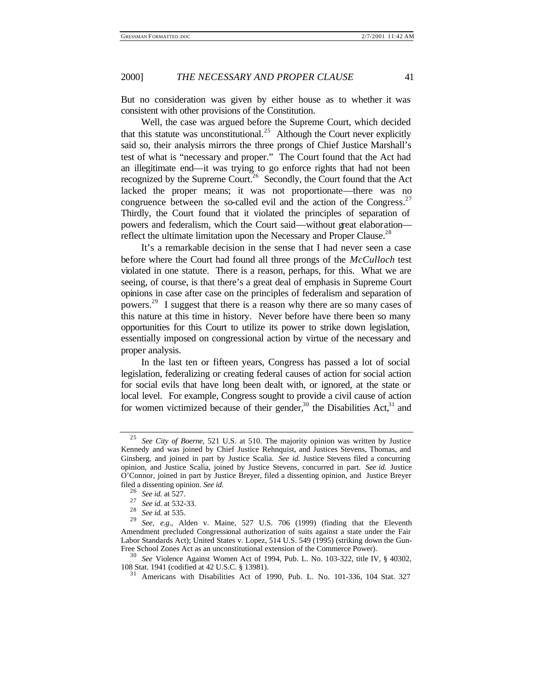#### 2000] *THE NECESSARY AND PROPER CLAUSE* 41

But no consideration was given by either house as to whether it was consistent with other provisions of the Constitution.

Well, the case was argued before the Supreme Court, which decided that this statute was unconstitutional.<sup>25</sup> Although the Court never explicitly said so, their analysis mirrors the three prongs of Chief Justice Marshall's test of what is "necessary and proper." The Court found that the Act had an illegitimate end—it was trying to go enforce rights that had not been recognized by the Supreme Court.<sup>26</sup> Secondly, the Court found that the Act lacked the proper means; it was not proportionate—there was no congruence between the so-called evil and the action of the Congress.<sup>27</sup> Thirdly, the Court found that it violated the principles of separation of powers and federalism, which the Court said—without great elaboration reflect the ultimate limitation upon the Necessary and Proper Clause.<sup>28</sup>

It's a remarkable decision in the sense that I had never seen a case before where the Court had found all three prongs of the *McCulloch* test violated in one statute. There is a reason, perhaps, for this. What we are seeing, of course, is that there's a great deal of emphasis in Supreme Court opinions in case after case on the principles of federalism and separation of powers.<sup>29</sup> I suggest that there is a reason why there are so many cases of this nature at this time in history. Never before have there been so many opportunities for this Court to utilize its power to strike down legislation, essentially imposed on congressional action by virtue of the necessary and proper analysis.

In the last ten or fifteen years, Congress has passed a lot of social legislation, federalizing or creating federal causes of action for social action for social evils that have long been dealt with, or ignored, at the state or local level. For example, Congress sought to provide a civil cause of action for women victimized because of their gender,<sup>30</sup> the Disabilities Act,<sup>31</sup> and

<sup>25</sup> *See City of Boerne*, 521 U.S. at 510. The majority opinion was written by Justice Kennedy and was joined by Chief Justice Rehnquist, and Justices Stevens, Thomas, and Ginsberg, and joined in part by Justice Scalia. *See id.* Justice Stevens filed a concurring opinion, and Justice Scalia, joined by Justice Stevens, concurred in part. *See id.* Justice O'Connor, joined in part by Justice Breyer, filed a dissenting opinion, and Justice Breyer filed a dissenting opinion. *See id.*

<sup>26</sup> *See id.* at 527.

 $\frac{27}{28}$  *See id.* at 532-33.

 $\frac{28}{29}$  *See id.* at 535.

See, e.g., Alden v. Maine, 527 U.S. 706 (1999) (finding that the Eleventh Amendment precluded Congressional authorization of suits against a state under the Fair Labor Standards Act); United States v. Lopez, 514 U.S. 549 (1995) (striking down the Gun-Free School Zones Act as an unconstitutional extension of the Commerce Power).

<sup>30</sup> *See* Violence Against Women Act of 1994, Pub. L. No. 103-322, title IV, § 40302, 108 Stat. 1941 (codified at 42 U.S.C. § 13981).

Americans with Disabilities Act of 1990, Pub. L. No. 101-336, 104 Stat. 327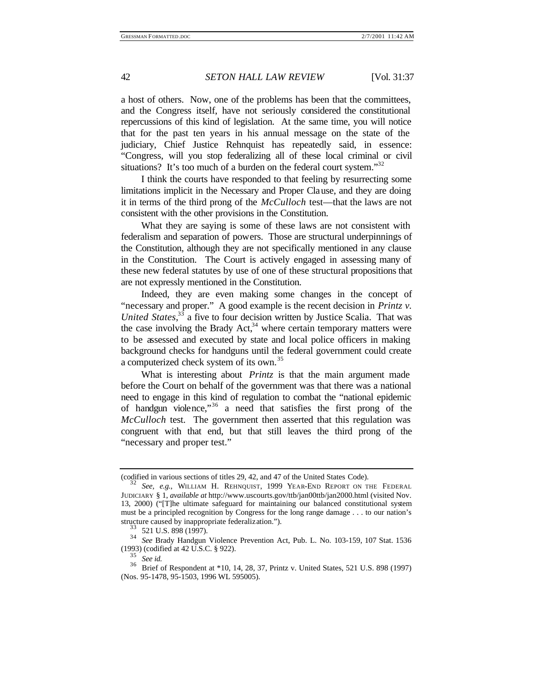a host of others. Now, one of the problems has been that the committees, and the Congress itself, have not seriously considered the constitutional repercussions of this kind of legislation. At the same time, you will notice that for the past ten years in his annual message on the state of the judiciary, Chief Justice Rehnquist has repeatedly said, in essence: "Congress, will you stop federalizing all of these local criminal or civil situations? It's too much of a burden on the federal court system."<sup>32</sup>

I think the courts have responded to that feeling by resurrecting some limitations implicit in the Necessary and Proper Clause, and they are doing it in terms of the third prong of the *McCulloch* test—that the laws are not consistent with the other provisions in the Constitution.

What they are saying is some of these laws are not consistent with federalism and separation of powers. Those are structural underpinnings of the Constitution, although they are not specifically mentioned in any clause in the Constitution. The Court is actively engaged in assessing many of these new federal statutes by use of one of these structural propositions that are not expressly mentioned in the Constitution.

Indeed, they are even making some changes in the concept of "necessary and proper." A good example is the recent decision in *Printz v.*  United States,<sup>33</sup> a five to four decision written by Justice Scalia. That was the case involving the Brady Act, $34$  where certain temporary matters were to be assessed and executed by state and local police officers in making background checks for handguns until the federal government could create a computerized check system of its own.<sup>35</sup>

What is interesting about *Printz* is that the main argument made before the Court on behalf of the government was that there was a national need to engage in this kind of regulation to combat the "national epidemic of handgun violence," $36$  a need that satisfies the first prong of the *McCulloch* test. The government then asserted that this regulation was congruent with that end, but that still leaves the third prong of the "necessary and proper test."

<sup>(</sup>codified in various sections of titles 29, 42, and 47 of the United States Code).

<sup>32</sup> *See, e.g.*, WILLIAM H. REHNQUIST, 1999 YEAR-END REPORT ON THE FEDERAL JUDICIARY § 1, *available at* http://www.uscourts.gov/ttb/jan00ttb/jan2000.html (visited Nov. 13, 2000) ("[T]he ultimate safeguard for maintaining our balanced constitutional system must be a principled recognition by Congress for the long range damage . . . to our nation's structure caused by inappropriate federalization.").

<sup>33</sup> 521 U.S. 898 (1997).

<sup>34</sup> *See* Brady Handgun Violence Prevention Act, Pub. L. No. 103-159, 107 Stat. 1536  $(1993)$  (codified at 42 U.S.C. § 922).

<sup>35</sup> *See id.*

<sup>36</sup> Brief of Respondent at \*10, 14, 28, 37, Printz v. United States, 521 U.S. 898 (1997) (Nos. 95-1478, 95-1503, 1996 WL 595005).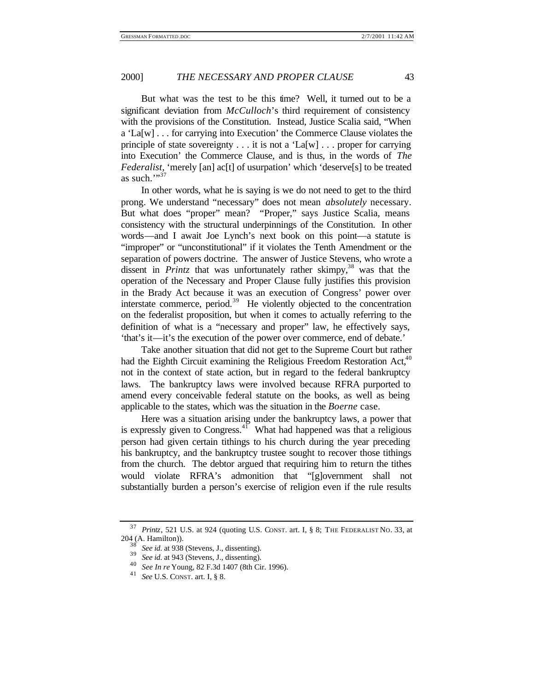#### 2000] *THE NECESSARY AND PROPER CLAUSE* 43

But what was the test to be this time? Well, it turned out to be a significant deviation from *McCulloch*'s third requirement of consistency with the provisions of the Constitution. Instead, Justice Scalia said, "When a 'La[w] . . . for carrying into Execution' the Commerce Clause violates the principle of state sovereignty  $\dots$  it is not a 'La[w]  $\dots$  proper for carrying into Execution' the Commerce Clause, and is thus, in the words of *The Federalist*, 'merely [an] ac<sup>[t]</sup> of usurpation' which 'deserve<sup>[s]</sup> to be treated as such.""37

In other words, what he is saying is we do not need to get to the third prong. We understand "necessary" does not mean *absolutely* necessary. But what does "proper" mean? "Proper," says Justice Scalia, means consistency with the structural underpinnings of the Constitution. In other words—and I await Joe Lynch's next book on this point—a statute is "improper" or "unconstitutional" if it violates the Tenth Amendment or the separation of powers doctrine. The answer of Justice Stevens, who wrote a dissent in *Printz* that was unfortunately rather skimpy,<sup>38</sup> was that the operation of the Necessary and Proper Clause fully justifies this provision in the Brady Act because it was an execution of Congress' power over interstate commerce, period.<sup>39</sup> He violently objected to the concentration on the federalist proposition, but when it comes to actually referring to the definition of what is a "necessary and proper" law, he effectively says, 'that's it—it's the execution of the power over commerce, end of debate.'

Take another situation that did not get to the Supreme Court but rather had the Eighth Circuit examining the Religious Freedom Restoration Act,  $40^{\circ}$ not in the context of state action, but in regard to the federal bankruptcy laws. The bankruptcy laws were involved because RFRA purported to amend every conceivable federal statute on the books, as well as being applicable to the states, which was the situation in the *Boerne* case.

Here was a situation arising under the bankruptcy laws, a power that is expressly given to Congress.<sup>41</sup> What had happened was that a religious person had given certain tithings to his church during the year preceding his bankruptcy, and the bankruptcy trustee sought to recover those tithings from the church. The debtor argued that requiring him to return the tithes would violate RFRA's admonition that "[g]overnment shall not substantially burden a person's exercise of religion even if the rule results

<sup>37</sup> *Printz*, 521 U.S. at 924 (quoting U.S. CONST. art. I, § 8; THE FEDERALIST NO. 33, at 204 (A. Hamilton)).

See id. at 938 (Stevens, J., dissenting).

<sup>39</sup> *See id*. at 943 (Stevens, J., dissenting).

<sup>40</sup> *See In re* Young, 82 F.3d 1407 (8th Cir. 1996).

<sup>41</sup> *See* U.S. CONST. art. I, § 8.